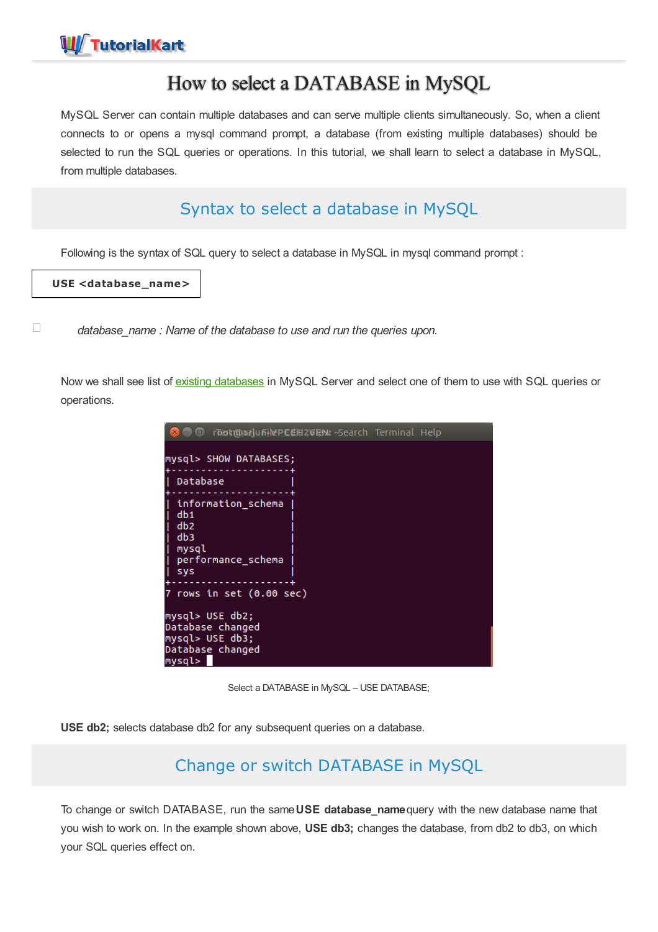

# How to select a DATABASE in MySQL

MySQL Server can contain multiple databases and can serve multiple clients simultaneously. So, when a client connects to or opens a mysql command prompt, a database (from existing multiple databases) should be selected to run the SQL queries or operations. In this tutorial, we shall learn to select a database in MySQL, from multiple databases.

# Syntax to select a database in MySQL

Following is the syntax of SQL query to select a database in MySQL in mysql command prompt :

**USE <database\_name>**

*database\_name : Name of the database to use and run the queries upon.*

Now we shall see list of existing [databases](https://www.tutorialkart.com/mysql/show-existing-databases-in-mysql/) in MySQL Server and select one of them to use with SQL queries or operations.

| r <del>tertriduariu fiilde PECIII 20 EM</del> - Search Terminal Help<br>$\bm{\Theta}$ $\bm{\Theta}$ |  |
|-----------------------------------------------------------------------------------------------------|--|
| mysql> SHOW DATABASES;                                                                              |  |
| Database                                                                                            |  |
| information_schema<br>db1<br>db2<br>db3<br>mysql<br>performance_schema<br>sys                       |  |
| 7 rows in set (0.00 sec)                                                                            |  |
| mysql> USE db2;<br>Database changed<br>mysql> USE db3;<br>Database changed<br>mysql>                |  |

Select a DATABASE in MySQL – USE DATABASE;

**USE db2;** selects database db2 for any subsequent queries on a database.

## Change or switch DATABASE in MySQL

To change or switch DATABASE, run the same**USE database\_name**query with the new database name that you wish to work on. In the example shown above, **USE db3;** changes the database, from db2 to db3, on which your SQL queries effect on.